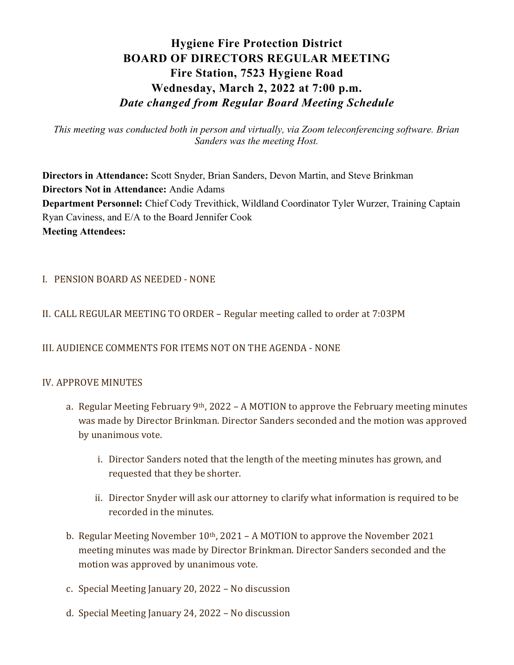# Hygiene Fire Protection District BOARD OF DIRECTORS REGULAR MEETING Fire Station, 7523 Hygiene Road Wednesday, March 2, 2022 at 7:00 p.m. Date changed from Regular Board Meeting Schedule

This meeting was conducted both in person and virtually, via Zoom teleconferencing software. Brian Sanders was the meeting Host.

Directors in Attendance: Scott Snyder, Brian Sanders, Devon Martin, and Steve Brinkman Directors Not in Attendance: Andie Adams Department Personnel: Chief Cody Trevithick, Wildland Coordinator Tyler Wurzer, Training Captain Ryan Caviness, and E/A to the Board Jennifer Cook Meeting Attendees:

I. PENSION BOARD AS NEEDED - NONE

## II. CALL REGULAR MEETING TO ORDER – Regular meeting called to order at 7:03PM

#### III. AUDIENCE COMMENTS FOR ITEMS NOT ON THE AGENDA - NONE

#### IV. APPROVE MINUTES

- a. Regular Meeting February 9<sup>th</sup>, 2022 A MOTION to approve the February meeting minutes was made by Director Brinkman. Director Sanders seconded and the motion was approved by unanimous vote.
	- i. Director Sanders noted that the length of the meeting minutes has grown, and requested that they be shorter.
	- ii. Director Snyder will ask our attorney to clarify what information is required to be recorded in the minutes.
- b. Regular Meeting November  $10<sup>th</sup>$ , 2021 A MOTION to approve the November 2021 meeting minutes was made by Director Brinkman. Director Sanders seconded and the motion was approved by unanimous vote.
- c. Special Meeting January 20, 2022 No discussion
- d. Special Meeting January 24, 2022 No discussion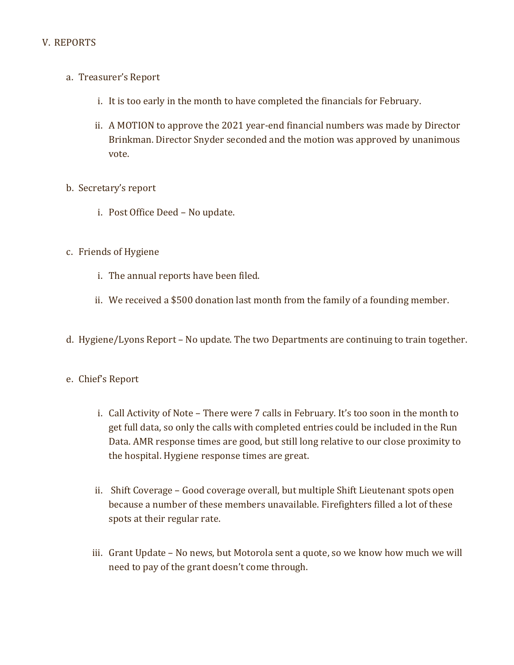## V. REPORTS

- a. Treasurer's Report
	- i. It is too early in the month to have completed the financials for February.
	- ii. A MOTION to approve the 2021 year-end financial numbers was made by Director Brinkman. Director Snyder seconded and the motion was approved by unanimous vote.

## b. Secretary's report

- i. Post Office Deed No update.
- c. Friends of Hygiene
	- i. The annual reports have been filed.
	- ii. We received a \$500 donation last month from the family of a founding member.
- d. Hygiene/Lyons Report No update. The two Departments are continuing to train together.

#### e. Chief's Report

- i. Call Activity of Note There were 7 calls in February. It's too soon in the month to get full data, so only the calls with completed entries could be included in the Run Data. AMR response times are good, but still long relative to our close proximity to the hospital. Hygiene response times are great.
- ii. Shift Coverage Good coverage overall, but multiple Shift Lieutenant spots open because a number of these members unavailable. Firefighters filled a lot of these spots at their regular rate.
- iii. Grant Update No news, but Motorola sent a quote, so we know how much we will need to pay of the grant doesn't come through.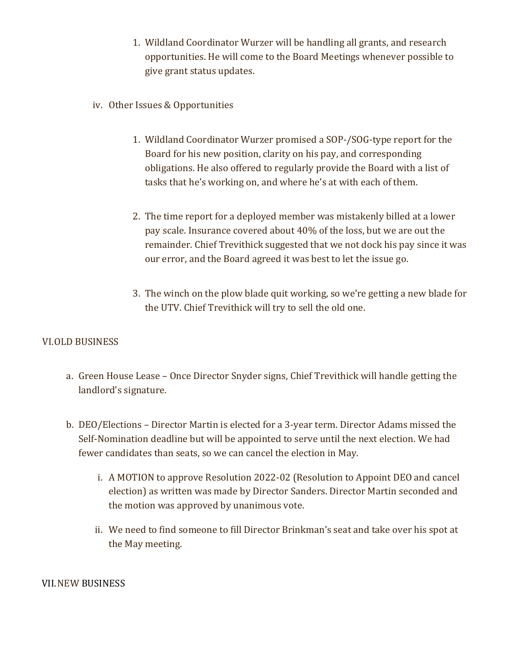- 1. Wildland Coordinator Wurzer will be handling all grants, and research opportunities. He will come to the Board Meetings whenever possible to give grant status updates.
- iv. Other Issues & Opportunities
	- 1. Wildland Coordinator Wurzer promised a SOP-/SOG-type report for the Board for his new position, clarity on his pay, and corresponding obligations. He also offered to regularly provide the Board with a list of tasks that he's working on, and where he's at with each of them.
	- 2. The time report for a deployed member was mistakenly billed at a lower pay scale. Insurance covered about 40% of the loss, but we are out the remainder. Chief Trevithick suggested that we not dock his pay since it was our error, and the Board agreed it was best to let the issue go.
	- 3. The winch on the plow blade quit working, so we're getting a new blade for the UTV. Chief Trevithick will try to sell the old one.

## VI.OLD BUSINESS

- a. Green House Lease Once Director Snyder signs, Chief Trevithick will handle getting the landlord's signature.
- b. DEO/Elections Director Martin is elected for a 3-year term. Director Adams missed the Self-Nomination deadline but will be appointed to serve until the next election. We had fewer candidates than seats, so we can cancel the election in May.
	- i. A MOTION to approve Resolution 2022-02 (Resolution to Appoint DEO and cancel election) as written was made by Director Sanders. Director Martin seconded and the motion was approved by unanimous vote.
	- ii. We need to find someone to fill Director Brinkman's seat and take over his spot at the May meeting.

#### VII.NEW BUSINESS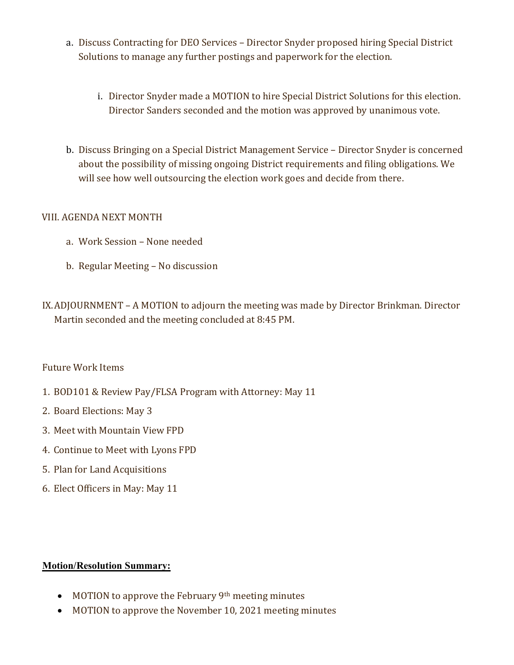- a. Discuss Contracting for DEO Services Director Snyder proposed hiring Special District Solutions to manage any further postings and paperwork for the election.
	- i. Director Snyder made a MOTION to hire Special District Solutions for this election. Director Sanders seconded and the motion was approved by unanimous vote.
- b. Discuss Bringing on a Special District Management Service Director Snyder is concerned about the possibility of missing ongoing District requirements and filing obligations. We will see how well outsourcing the election work goes and decide from there.

## VIII. AGENDA NEXT MONTH

- a. Work Session None needed
- b. Regular Meeting No discussion
- IX.ADJOURNMENT A MOTION to adjourn the meeting was made by Director Brinkman. Director Martin seconded and the meeting concluded at 8:45 PM.

## Future Work Items

- 1. BOD101 & Review Pay/FLSA Program with Attorney: May 11
- 2. Board Elections: May 3
- 3. Meet with Mountain View FPD
- 4. Continue to Meet with Lyons FPD
- 5. Plan for Land Acquisitions
- 6. Elect Officers in May: May 11

## Motion/Resolution Summary:

- MOTION to approve the February 9<sup>th</sup> meeting minutes
- MOTION to approve the November 10, 2021 meeting minutes